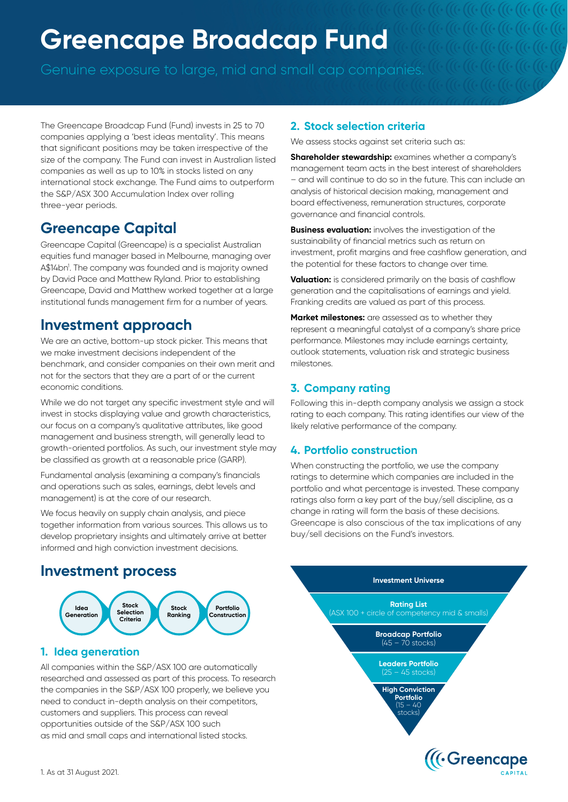# **Greencape Broadcap Fund**

The Greencape Broadcap Fund (Fund) invests in 25 to 70 companies applying a 'best ideas mentality'. This means that significant positions may be taken irrespective of the size of the company. The Fund can invest in Australian listed companies as well as up to 10% in stocks listed on any international stock exchange. The Fund aims to outperform the S&P/ASX 300 Accumulation Index over rolling three-year periods.

## **Greencape Capital**

Greencape Capital (Greencape) is a specialist Australian equities fund manager based in Melbourne, managing over A\$14bn<sup>1</sup>. The company was founded and is majority owned by David Pace and Matthew Ryland. Prior to establishing Greencape, David and Matthew worked together at a large institutional funds management firm for a number of years.

### **Investment approach**

We are an active, bottom-up stock picker. This means that we make investment decisions independent of the benchmark, and consider companies on their own merit and not for the sectors that they are a part of or the current economic conditions.

While we do not target any specific investment style and will invest in stocks displaying value and growth characteristics, our focus on a company's qualitative attributes, like good management and business strength, will generally lead to growth-oriented portfolios. As such, our investment style may be classified as growth at a reasonable price (GARP).

Fundamental analysis (examining a company's financials and operations such as sales, earnings, debt levels and management) is at the core of our research.

We focus heavily on supply chain analysis, and piece together information from various sources. This allows us to develop proprietary insights and ultimately arrive at better informed and high conviction investment decisions.

## **Investment process**



#### **1. Idea generation**

All companies within the S&P/ASX 100 are automatically researched and assessed as part of this process. To research the companies in the S&P/ASX 100 properly, we believe you need to conduct in-depth analysis on their competitors, customers and suppliers. This process can reveal opportunities outside of the S&P/ASX 100 such as mid and small caps and international listed stocks.

#### **2. Stock selection criteria**

We assess stocks against set criteria such as:

**Shareholder stewardship:** examines whether a company's management team acts in the best interest of shareholders – and will continue to do so in the future. This can include an analysis of historical decision making, management and board effectiveness, remuneration structures, corporate governance and financial controls.

**Business evaluation:** involves the investigation of the sustainability of financial metrics such as return on investment, profit margins and free cashflow generation, and the potential for these factors to change over time.

**Valuation:** is considered primarily on the basis of cashflow generation and the capitalisations of earnings and yield. Franking credits are valued as part of this process.

**Market milestones:** are assessed as to whether they represent a meaningful catalyst of a company's share price performance. Milestones may include earnings certainty, outlook statements, valuation risk and strategic business milestones.

#### **3. Company rating**

Following this in-depth company analysis we assign a stock rating to each company. This rating identifies our view of the likely relative performance of the company.

#### **4. Portfolio construction**

When constructing the portfolio, we use the company ratings to determine which companies are included in the portfolio and what percentage is invested. These company ratings also form a key part of the buy/sell discipline, as a change in rating will form the basis of these decisions. Greencape is also conscious of the tax implications of any buy/sell decisions on the Fund's investors.